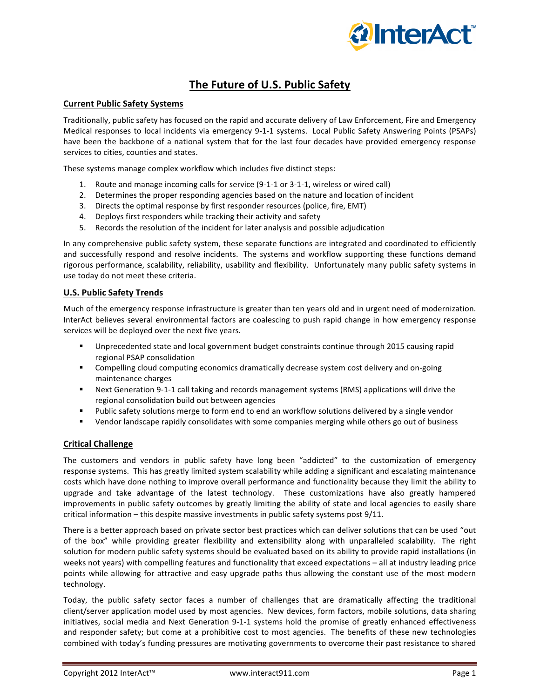

# **The Future of U.S. Public Safety**

# **Current Public Safety Systems**

Traditionally, public safety has focused on the rapid and accurate delivery of Law Enforcement, Fire and Emergency Medical responses to local incidents via emergency 9-1-1 systems. Local Public Safety Answering Points (PSAPs) have been the backbone of a national system that for the last four decades have provided emergency response services to cities, counties and states.

These systems manage complex workflow which includes five distinct steps:

- 1. Route and manage incoming calls for service (9-1-1 or 3-1-1, wireless or wired call)
- 2. Determines the proper responding agencies based on the nature and location of incident
- 3. Directs the optimal response by first responder resources (police, fire, EMT)
- 4. Deploys first responders while tracking their activity and safety
- 5. Records the resolution of the incident for later analysis and possible adjudication

In any comprehensive public safety system, these separate functions are integrated and coordinated to efficiently and successfully respond and resolve incidents. The systems and workflow supporting these functions demand rigorous performance, scalability, reliability, usability and flexibility. Unfortunately many public safety systems in use today do not meet these criteria.

## **U.S. Public Safety Trends**

Much of the emergency response infrastructure is greater than ten years old and in urgent need of modernization. InterAct believes several environmental factors are coalescing to push rapid change in how emergency response services will be deployed over the next five years.

- Unprecedented state and local government budget constraints continue through 2015 causing rapid regional PSAP consolidation
- <sup>■</sup> Compelling cloud computing economics dramatically decrease system cost delivery and on-going maintenance charges
- Next Generation 9-1-1 call taking and records management systems (RMS) applications will drive the regional consolidation build out between agencies
- <sup>■</sup> Public safety solutions merge to form end to end an workflow solutions delivered by a single vendor
- Vendor landscape rapidly consolidates with some companies merging while others go out of business

# **Critical Challenge**

The customers and vendors in public safety have long been "addicted" to the customization of emergency response systems. This has greatly limited system scalability while adding a significant and escalating maintenance costs which have done nothing to improve overall performance and functionality because they limit the ability to upgrade and take advantage of the latest technology. These customizations have also greatly hampered improvements in public safety outcomes by greatly limiting the ability of state and local agencies to easily share critical information  $-$  this despite massive investments in public safety systems post  $9/11$ .

There is a better approach based on private sector best practices which can deliver solutions that can be used "out of the box" while providing greater flexibility and extensibility along with unparalleled scalability. The right solution for modern public safety systems should be evaluated based on its ability to provide rapid installations (in weeks not years) with compelling features and functionality that exceed expectations – all at industry leading price points while allowing for attractive and easy upgrade paths thus allowing the constant use of the most modern technology. 

Today, the public safety sector faces a number of challenges that are dramatically affecting the traditional client/server application model used by most agencies. New devices, form factors, mobile solutions, data sharing initiatives, social media and Next Generation 9-1-1 systems hold the promise of greatly enhanced effectiveness and responder safety; but come at a prohibitive cost to most agencies. The benefits of these new technologies combined with today's funding pressures are motivating governments to overcome their past resistance to shared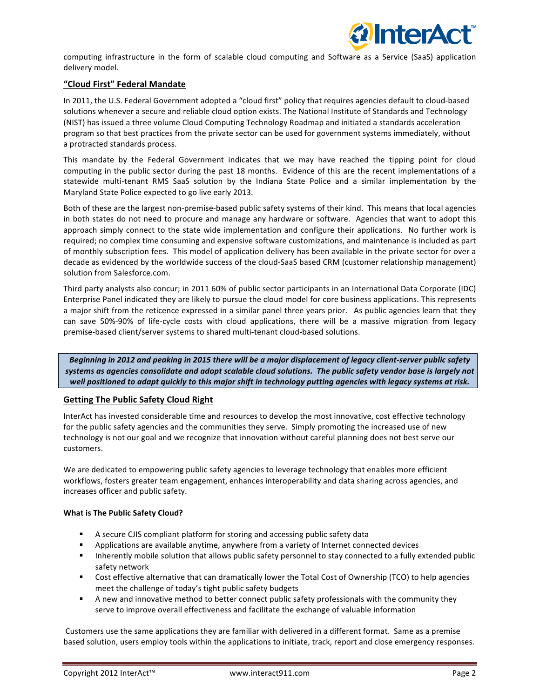

computing infrastructure in the form of scalable cloud computing and Software as a Service (SaaS) application delivery model.

# **"Cloud First" Federal Mandate**

In 2011, the U.S. Federal Government adopted a "cloud first" policy that requires agencies default to cloud-based solutions whenever a secure and reliable cloud option exists. The National Institute of Standards and Technology (NIST) has issued a three volume Cloud Computing Technology Roadmap and initiated a standards acceleration program so that best practices from the private sector can be used for government systems immediately, without a protracted standards process.

This mandate by the Federal Government indicates that we may have reached the tipping point for cloud computing in the public sector during the past 18 months. Evidence of this are the recent implementations of a statewide multi-tenant RMS SaaS solution by the Indiana State Police and a similar implementation by the Maryland State Police expected to go live early 2013.

Both of these are the largest non-premise-based public safety systems of their kind. This means that local agencies in both states do not need to procure and manage any hardware or software. Agencies that want to adopt this approach simply connect to the state wide implementation and configure their applications. No further work is required; no complex time consuming and expensive software customizations, and maintenance is included as part of monthly subscription fees. This model of application delivery has been available in the private sector for over a decade as evidenced by the worldwide success of the cloud-SaaS based CRM (customer relationship management) solution from Salesforce.com.

Third party analysts also concur; in 2011 60% of public sector participants in an International Data Corporate (IDC) Enterprise Panel indicated they are likely to pursue the cloud model for core business applications. This represents a major shift from the reticence expressed in a similar panel three years prior. As public agencies learn that they can save 50%-90% of life-cycle costs with cloud applications, there will be a massive migration from legacy premise-based client/server systems to shared multi-tenant cloud-based solutions.

*Beginning in 2012 and peaking in 2015 there will be a major displacement of legacy client-server public safety systems as agencies consolidate and adopt scalable cloud solutions. The public safety vendor base is largely not* well positioned to adapt quickly to this major shift in technology putting agencies with legacy systems at risk.

# **Getting The Public Safety Cloud Right**

InterAct has invested considerable time and resources to develop the most innovative, cost effective technology for the public safety agencies and the communities they serve. Simply promoting the increased use of new technology is not our goal and we recognize that innovation without careful planning does not best serve our customers. 

We are dedicated to empowering public safety agencies to leverage technology that enables more efficient workflows, fosters greater team engagement, enhances interoperability and data sharing across agencies, and increases officer and public safety.

## **What is The Public Safety Cloud?**

- **•** A secure CJIS compliant platform for storing and accessing public safety data
- **•** Applications are available anytime, anywhere from a variety of Internet connected devices
- **■** Inherently mobile solution that allows public safety personnel to stay connected to a fully extended public safety network
- Cost effective alternative that can dramatically lower the Total Cost of Ownership (TCO) to help agencies meet the challenge of today's tight public safety budgets
- **•** A new and innovative method to better connect public safety professionals with the community they serve to improve overall effectiveness and facilitate the exchange of valuable information

Customers use the same applications they are familiar with delivered in a different format. Same as a premise based solution, users employ tools within the applications to initiate, track, report and close emergency responses.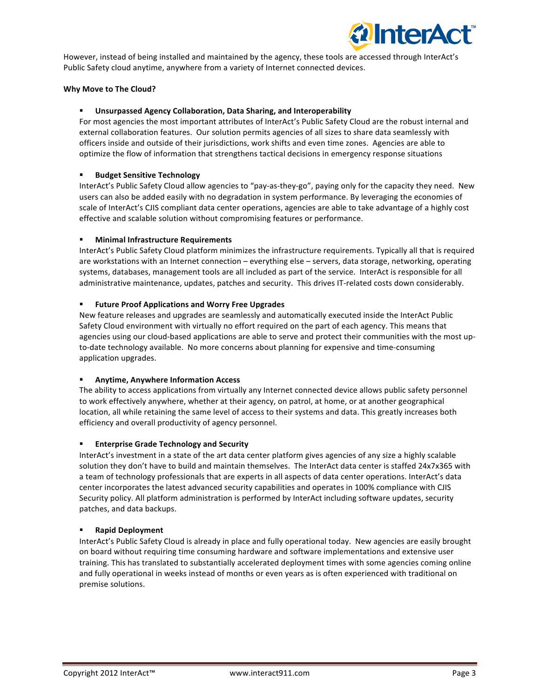

However, instead of being installed and maintained by the agency, these tools are accessed through InterAct's Public Safety cloud anytime, anywhere from a variety of Internet connected devices.

## **Why Move to The Cloud?**

#### § **Unsurpassed Agency Collaboration, Data Sharing, and Interoperability**

For most agencies the most important attributes of InterAct's Public Safety Cloud are the robust internal and external collaboration features. Our solution permits agencies of all sizes to share data seamlessly with officers inside and outside of their jurisdictions, work shifts and even time zones. Agencies are able to optimize the flow of information that strengthens tactical decisions in emergency response situations

#### § **Budget Sensitive Technology**

InterAct's Public Safety Cloud allow agencies to "pay-as-they-go", paying only for the capacity they need. New users can also be added easily with no degradation in system performance. By leveraging the economies of scale of InterAct's CJIS compliant data center operations, agencies are able to take advantage of a highly cost effective and scalable solution without compromising features or performance.

## **Minimal Infrastructure Requirements**

InterAct's Public Safety Cloud platform minimizes the infrastructure requirements. Typically all that is required are workstations with an Internet connection - everything else - servers, data storage, networking, operating systems, databases, management tools are all included as part of the service. InterAct is responsible for all administrative maintenance, updates, patches and security. This drives IT-related costs down considerably.

#### **EXECTE:** Future Proof Applications and Worry Free Upgrades

New feature releases and upgrades are seamlessly and automatically executed inside the InterAct Public Safety Cloud environment with virtually no effort required on the part of each agency. This means that agencies using our cloud-based applications are able to serve and protect their communities with the most upto-date technology available. No more concerns about planning for expensive and time-consuming application upgrades.

## § **Anytime, Anywhere Information Access**

The ability to access applications from virtually any Internet connected device allows public safety personnel to work effectively anywhere, whether at their agency, on patrol, at home, or at another geographical location, all while retaining the same level of access to their systems and data. This greatly increases both efficiency and overall productivity of agency personnel.

## **Enterprise Grade Technology and Security**

InterAct's investment in a state of the art data center platform gives agencies of any size a highly scalable solution they don't have to build and maintain themselves. The InterAct data center is staffed 24x7x365 with a team of technology professionals that are experts in all aspects of data center operations. InterAct's data center incorporates the latest advanced security capabilities and operates in 100% compliance with CJIS Security policy. All platform administration is performed by InterAct including software updates, security patches, and data backups.

## § **Rapid Deployment**

InterAct's Public Safety Cloud is already in place and fully operational today. New agencies are easily brought on board without requiring time consuming hardware and software implementations and extensive user training. This has translated to substantially accelerated deployment times with some agencies coming online and fully operational in weeks instead of months or even years as is often experienced with traditional on premise solutions.